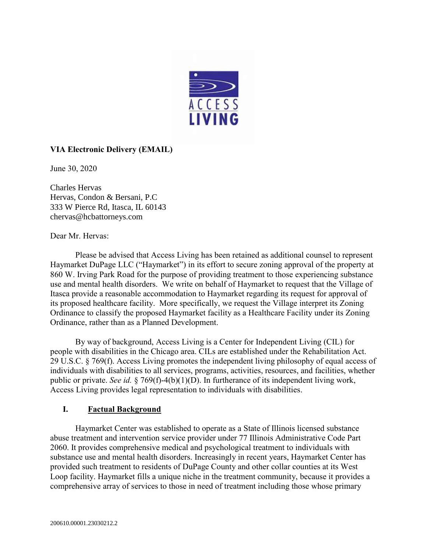

# **VIA Electronic Delivery (EMAIL)**

June 30, 2020

Charles Hervas Hervas, Condon & Bersani, P.C [333 W Pierce Rd, Itasca, IL 60143](https://www.bing.com/local?lid=YN267x7270284&id=YN267x7270284&q=Hervas%2c+Condon+%26+Bersani%2c+P.C.&name=Hervas%2c+Condon+%26+Bersani%2c+P.C.&cp=41.98816680908203%7e-88.01078033447266&ppois=41.98816680908203_-88.01078033447266_Hervas%2c+Condon+%26+Bersani%2c+P.C.&FORM=SNAPST) [chervas@hcbattorneys.com](mailto:chervas@hcbattorneys.com)

Dear Mr. Hervas:

Please be advised that Access Living has been retained as additional counsel to represent Haymarket DuPage LLC ("Haymarket") in its effort to secure zoning approval of the property at 860 W. Irving Park Road for the purpose of providing treatment to those experiencing substance use and mental health disorders. We write on behalf of Haymarket to request that the Village of Itasca provide a reasonable accommodation to Haymarket regarding its request for approval of its proposed healthcare facility. More specifically, we request the Village interpret its Zoning Ordinance to classify the proposed Haymarket facility as a Healthcare Facility under its Zoning Ordinance, rather than as a Planned Development.

By way of background, Access Living is a Center for Independent Living (CIL) for people with disabilities in the Chicago area. CILs are established under the Rehabilitation Act. 29 U.S.C. § 769(f). Access Living promotes the independent living philosophy of equal access of individuals with disabilities to all services, programs, activities, resources, and facilities, whether public or private. *See id.* § 769(f)-4(b)(1)(D). In furtherance of its independent living work, Access Living provides legal representation to individuals with disabilities.

### **I. Factual Background**

Haymarket Center was established to operate as a State of Illinois licensed substance abuse treatment and intervention service provider under 77 Illinois Administrative Code Part 2060. It provides comprehensive medical and psychological treatment to individuals with substance use and mental health disorders. Increasingly in recent years, Haymarket Center has provided such treatment to residents of DuPage County and other collar counties at its West Loop facility. Haymarket fills a unique niche in the treatment community, because it provides a comprehensive array of services to those in need of treatment including those whose primary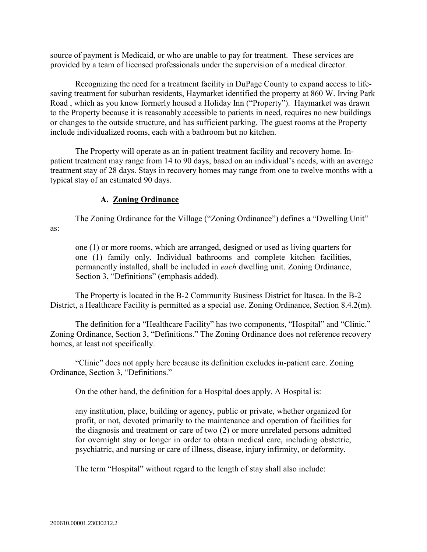source of payment is Medicaid, or who are unable to pay for treatment. These services are provided by a team of licensed professionals under the supervision of a medical director.

Recognizing the need for a treatment facility in DuPage County to expand access to lifesaving treatment for suburban residents, Haymarket identified the property at 860 W. Irving Park Road , which as you know formerly housed a Holiday Inn ("Property"). Haymarket was drawn to the Property because it is reasonably accessible to patients in need, requires no new buildings or changes to the outside structure, and has sufficient parking. The guest rooms at the Property include individualized rooms, each with a bathroom but no kitchen.

The Property will operate as an in-patient treatment facility and recovery home. Inpatient treatment may range from 14 to 90 days, based on an individual's needs, with an average treatment stay of 28 days. Stays in recovery homes may range from one to twelve months with a typical stay of an estimated 90 days.

## **A. Zoning Ordinance**

The Zoning Ordinance for the Village ("Zoning Ordinance") defines a "Dwelling Unit" as:

one (1) or more rooms, which are arranged, designed or used as living quarters for one (1) family only. Individual bathrooms and complete kitchen facilities, permanently installed, shall be included in *each* dwelling unit. Zoning Ordinance, Section 3, "Definitions" (emphasis added).

The Property is located in the B-2 Community Business District for Itasca. In the B-2 District, a Healthcare Facility is permitted as a special use. Zoning Ordinance, Section 8.4.2(m).

The definition for a "Healthcare Facility" has two components, "Hospital" and "Clinic." Zoning Ordinance, Section 3, "Definitions." The Zoning Ordinance does not reference recovery homes, at least not specifically.

"Clinic" does not apply here because its definition excludes in-patient care. Zoning Ordinance, Section 3, "Definitions."

On the other hand, the definition for a Hospital does apply. A Hospital is:

any institution, place, building or agency, public or private, whether organized for profit, or not, devoted primarily to the maintenance and operation of facilities for the diagnosis and treatment or care of two (2) or more unrelated persons admitted for overnight stay or longer in order to obtain medical care, including obstetric, psychiatric, and nursing or care of illness, disease, injury infirmity, or deformity.

The term "Hospital" without regard to the length of stay shall also include: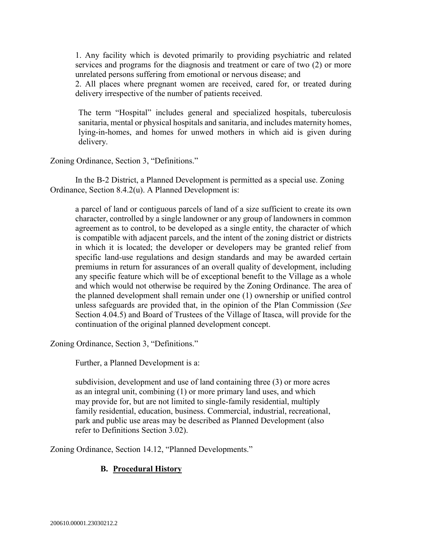1. Any facility which is devoted primarily to providing psychiatric and related services and programs for the diagnosis and treatment or care of two (2) or more unrelated persons suffering from emotional or nervous disease; and

2. All places where pregnant women are received, cared for, or treated during delivery irrespective of the number of patients received.

The term "Hospital" includes general and specialized hospitals, tuberculosis sanitaria, mental or physical hospitals and sanitaria, and includes maternity homes, lying-in-homes, and homes for unwed mothers in which aid is given during delivery.

Zoning Ordinance, Section 3, "Definitions."

In the B-2 District, a Planned Development is permitted as a special use. Zoning Ordinance, Section 8.4.2(u). A Planned Development is:

a parcel of land or contiguous parcels of land of a size sufficient to create its own character, controlled by a single landowner or any group of landowners in common agreement as to control, to be developed as a single entity, the character of which is compatible with adjacent parcels, and the intent of the zoning district or districts in which it is located; the developer or developers may be granted relief from specific land-use regulations and design standards and may be awarded certain premiums in return for assurances of an overall quality of development, including any specific feature which will be of exceptional benefit to the Village as a whole and which would not otherwise be required by the Zoning Ordinance. The area of the planned development shall remain under one (1) ownership or unified control unless safeguards are provided that, in the opinion of the Plan Commission (*See* Section 4.04.5) and Board of Trustees of the Village of Itasca, will provide for the continuation of the original planned development concept.

Zoning Ordinance, Section 3, "Definitions."

Further, a Planned Development is a:

subdivision, development and use of land containing three (3) or more acres as an integral unit, combining (1) or more primary land uses, and which may provide for, but are not limited to single-family residential, multiply family residential, education, business. Commercial, industrial, recreational, park and public use areas may be described as Planned Development (also refer to Definitions Section 3.02).

Zoning Ordinance, Section 14.12, "Planned Developments."

# **B. Procedural History**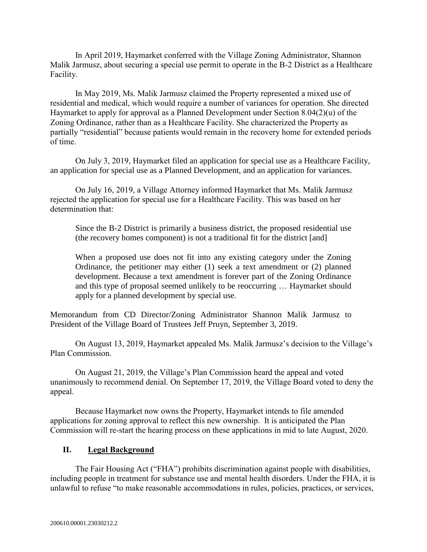In April 2019, Haymarket conferred with the Village Zoning Administrator, Shannon Malik Jarmusz, about securing a special use permit to operate in the B-2 District as a Healthcare Facility.

In May 2019, Ms. Malik Jarmusz claimed the Property represented a mixed use of residential and medical, which would require a number of variances for operation. She directed Haymarket to apply for approval as a Planned Development under Section 8.04(2)(u) of the Zoning Ordinance, rather than as a Healthcare Facility. She characterized the Property as partially "residential" because patients would remain in the recovery home for extended periods of time.

On July 3, 2019, Haymarket filed an application for special use as a Healthcare Facility, an application for special use as a Planned Development, and an application for variances.

On July 16, 2019, a Village Attorney informed Haymarket that Ms. Malik Jarmusz rejected the application for special use for a Healthcare Facility. This was based on her determination that:

Since the B-2 District is primarily a business district, the proposed residential use (the recovery homes component) is not a traditional fit for the district [and]

When a proposed use does not fit into any existing category under the Zoning Ordinance, the petitioner may either (1) seek a text amendment or (2) planned development. Because a text amendment is forever part of the Zoning Ordinance and this type of proposal seemed unlikely to be reoccurring … Haymarket should apply for a planned development by special use.

Memorandum from CD Director/Zoning Administrator Shannon Malik Jarmusz to President of the Village Board of Trustees Jeff Pruyn, September 3, 2019.

On August 13, 2019, Haymarket appealed Ms. Malik Jarmusz's decision to the Village's Plan Commission.

On August 21, 2019, the Village's Plan Commission heard the appeal and voted unanimously to recommend denial. On September 17, 2019, the Village Board voted to deny the appeal.

Because Haymarket now owns the Property, Haymarket intends to file amended applications for zoning approval to reflect this new ownership. It is anticipated the Plan Commission will re-start the hearing process on these applications in mid to late August, 2020.

### **II. Legal Background**

The Fair Housing Act ("FHA") prohibits discrimination against people with disabilities, including people in treatment for substance use and mental health disorders. Under the FHA, it is unlawful to refuse "to make reasonable accommodations in rules, policies, practices, or services,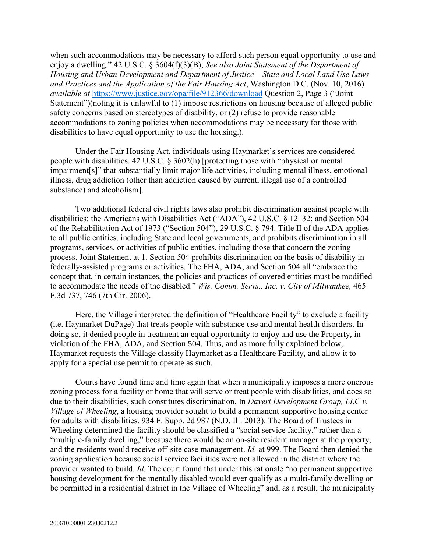when such accommodations may be necessary to afford such person equal opportunity to use and enjoy a dwelling." 42 U.S.C. § 3604(f)(3)(B); *See also Joint Statement of the Department of Housing and Urban Development and Department of Justice – State and Local Land Use Laws and Practices and the Application of the Fair Housing Act*, Washington D.C. (Nov. 10, 2016) *available at* <https://www.justice.gov/opa/file/912366/download> Question 2, Page 3 ("Joint Statement")(noting it is unlawful to (1) impose restrictions on housing because of alleged public safety concerns based on stereotypes of disability, or (2) refuse to provide reasonable accommodations to zoning policies when accommodations may be necessary for those with disabilities to have equal opportunity to use the housing.).

Under the Fair Housing Act, individuals using Haymarket's services are considered people with disabilities. 42 U.S.C. § 3602(h) [protecting those with "physical or mental impairment[s]" that substantially limit major life activities, including mental illness, emotional illness, drug addiction (other than addiction caused by current, illegal use of a controlled substance) and alcoholism].

Two additional federal civil rights laws also prohibit discrimination against people with disabilities: the Americans with Disabilities Act ("ADA"), 42 U.S.C. § 12132; and Section 504 of the Rehabilitation Act of 1973 ("Section 504"), 29 U.S.C. § 794. Title II of the ADA applies to all public entities, including State and local governments, and prohibits discrimination in all programs, services, or activities of public entities, including those that concern the zoning process. Joint Statement at 1. Section 504 prohibits discrimination on the basis of disability in federally-assisted programs or activities. The FHA, ADA, and Section 504 all "embrace the concept that, in certain instances, the policies and practices of covered entities must be modified to accommodate the needs of the disabled." *Wis. Comm. Servs., Inc. v. City of Milwaukee,* 465 F.3d 737, 746 (7th Cir. 2006).

Here, the Village interpreted the definition of "Healthcare Facility" to exclude a facility (i.e. Haymarket DuPage) that treats people with substance use and mental health disorders. In doing so, it denied people in treatment an equal opportunity to enjoy and use the Property, in violation of the FHA, ADA, and Section 504. Thus, and as more fully explained below, Haymarket requests the Village classify Haymarket as a Healthcare Facility, and allow it to apply for a special use permit to operate as such.

Courts have found time and time again that when a municipality imposes a more onerous zoning process for a facility or home that will serve or treat people with disabilities, and does so due to their disabilities, such constitutes discrimination. In *Daveri Development Group, LLC v. Village of Wheeling*, a housing provider sought to build a permanent supportive housing center for adults with disabilities. 934 F. Supp. 2d 987 (N.D. Ill. 2013). The Board of Trustees in Wheeling determined the facility should be classified a "social service facility," rather than a "multiple-family dwelling," because there would be an on-site resident manager at the property, and the residents would receive off-site case management. *Id.* at 999. The Board then denied the zoning application because social service facilities were not allowed in the district where the provider wanted to build. *Id.* The court found that under this rationale "no permanent supportive housing development for the mentally disabled would ever qualify as a multi-family dwelling or be permitted in a residential district in the Village of Wheeling" and, as a result, the municipality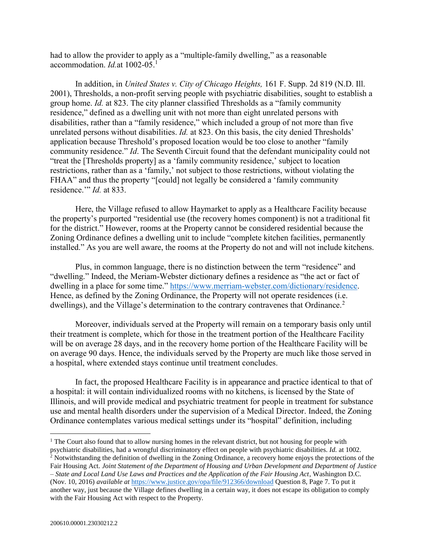had to allow the provider to apply as a "multiple-family dwelling," as a reasonable accommodation. *Id.*at 1002-05. 1

In addition, in *United States v. City of Chicago Heights,* 161 F. Supp. 2d 819 (N.D. Ill. 2001), Thresholds, a non-profit serving people with psychiatric disabilities, sought to establish a group home. *Id.* at 823. The city planner classified Thresholds as a "family community residence," defined as a dwelling unit with not more than eight unrelated persons with disabilities, rather than a "family residence," which included a group of not more than five unrelated persons without disabilities. *Id.* at 823. On this basis, the city denied Thresholds' application because Threshold's proposed location would be too close to another "family community residence." *Id*. The Seventh Circuit found that the defendant municipality could not "treat the [Thresholds property] as a 'family community residence,' subject to location restrictions, rather than as a 'family,' not subject to those restrictions, without violating the FHAA" and thus the property "[could] not legally be considered a 'family community residence.'" *Id.* at 833.

Here, the Village refused to allow Haymarket to apply as a Healthcare Facility because the property's purported "residential use (the recovery homes component) is not a traditional fit for the district." However, rooms at the Property cannot be considered residential because the Zoning Ordinance defines a dwelling unit to include "complete kitchen facilities, permanently installed." As you are well aware, the rooms at the Property do not and will not include kitchens.

Plus, in common language, there is no distinction between the term "residence" and "dwelling." Indeed, the Meriam-Webster dictionary defines a residence as "the act or fact of dwelling in a place for some time." [https://www.merriam-webster.com/dictionary/residence.](https://www.merriam-webster.com/dictionary/residence) Hence, as defined by the Zoning Ordinance, the Property will not operate residences (i.e. dwellings), and the Village's determination to the contrary contravenes that Ordinance.<sup>2</sup>

Moreover, individuals served at the Property will remain on a temporary basis only until their treatment is complete, which for those in the treatment portion of the Healthcare Facility will be on average 28 days, and in the recovery home portion of the Healthcare Facility will be on average 90 days. Hence, the individuals served by the Property are much like those served in a hospital, where extended stays continue until treatment concludes.

In fact, the proposed Healthcare Facility is in appearance and practice identical to that of a hospital: it will contain individualized rooms with no kitchens, is licensed by the State of Illinois, and will provide medical and psychiatric treatment for people in treatment for substance use and mental health disorders under the supervision of a Medical Director. Indeed, the Zoning Ordinance contemplates various medical settings under its "hospital" definition, including

 $\overline{a}$ 

<sup>&</sup>lt;sup>1</sup> The Court also found that to allow nursing homes in the relevant district, but not housing for people with psychiatric disabilities, had a wrongful discriminatory effect on people with psychiatric disabilities. *Id.* at 1002.  $2$  Notwithstanding the definition of dwelling in the Zoning Ordinance, a recovery home enjoys the protections of the Fair Housing Act. *Joint Statement of the Department of Housing and Urban Development and Department of Justice – State and Local Land Use Laws and Practices and the Application of the Fair Housing Act*, Washington D.C. (Nov. 10, 2016) *available at* <https://www.justice.gov/opa/file/912366/download> Question 8, Page 7. To put it another way, just because the Village defines dwelling in a certain way, it does not escape its obligation to comply with the Fair Housing Act with respect to the Property.